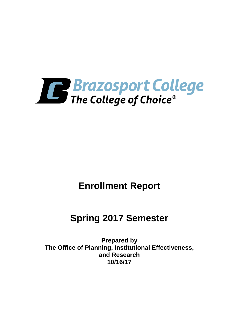

# **Enrollment Report**

## **Spring 2017 Semester**

**Prepared by The Office of Planning, Institutional Effectiveness, and Research 10/16/17**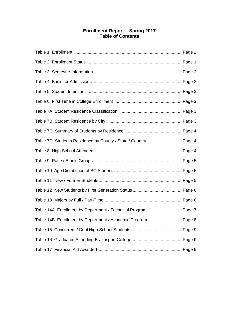## **Enrollment Report – Spring 2017 Table of Contents**

| Table 7D Students Residence by County / State / CountryPage 4 |  |
|---------------------------------------------------------------|--|
|                                                               |  |
|                                                               |  |
|                                                               |  |
|                                                               |  |
|                                                               |  |
|                                                               |  |
| Table 14A Enrollment by Department / Technical Program Page 7 |  |
| Table 14B Enrollment by Department / Academic ProgramPage 8   |  |
|                                                               |  |
|                                                               |  |
|                                                               |  |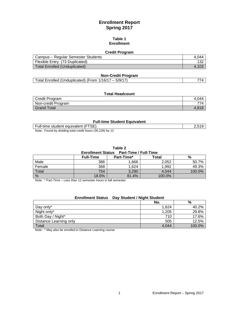## **Enrollment Report Spring 2017**

### **Table 1 Enrollment**

### **Credit Program**

| Campus - Regular Semester Students   | .044 |
|--------------------------------------|------|
| Flexible Entry (73 Duplicated)       |      |
| <b>Total Enrolled (Unduplicated)</b> |      |

### **Non-Credit Program**

### **Total Headcount**

| Credit Program     | ` ∩4∠ |
|--------------------|-------|
| Non-credit Program | 77    |
| Total<br>Grand     | 1 O 1 |

### **Full-time Student Equivalent**

Full-time student equivalent (FTSE) 2,519 Note: Found by dividing total credit hours (30,226) by 12

| Table 2 |                                         |  |
|---------|-----------------------------------------|--|
|         | Enrollment Status Part-Time / Full-Time |  |

|        | <b>Full-Time</b> | Part-Time* | Total  | %      |
|--------|------------------|------------|--------|--------|
| Male   | 386              | .666       | 2,052  | 50.7%  |
| Female | 368              | ,624       | 1,992  | 49.3%  |
| Total  | 754              | 3,290      | 4,044  | 100.0% |
| %      | 18.6%            | 81.4%      | 100.0% |        |

Note: \* Part-Time – Less than 12 semester hours in fall semester.

## **Enrollment Status Day Student / Night Student**

|                        | No.   | %      |
|------------------------|-------|--------|
| Day only*              | 1,624 | 40.2%  |
| Night only*            | 1,205 | 29.8%  |
| Both Day / Night*      | 710   | 17.6%  |
| Distance Learning only | 505   | 12.5%  |
| Total                  | 4.044 | 100.0% |

Note: \* May also be enrolled in Distance Learning course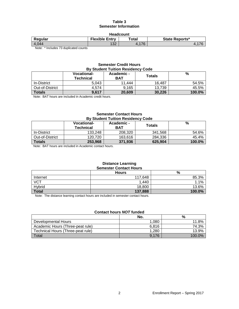### **Table 3 Semester Information**

| <b>Headcount</b>                                     |                       |       |                       |  |
|------------------------------------------------------|-----------------------|-------|-----------------------|--|
| Regular                                              | <b>Flexible Entry</b> | Total | <b>State Reports*</b> |  |
| 4.044                                                | イマウ<br>ے ت            | .176  |                       |  |
| Allege of the closely and closely and all a constant |                       |       |                       |  |

Note: \* Includes 73 duplicated counts

## **Semester Credit Hours By Student Tuition Residency Code**

|                 | <b>Vocational-</b><br><b>Technical</b> | Academic -<br><b>BAT</b> | <b>Totals</b> | %      |
|-----------------|----------------------------------------|--------------------------|---------------|--------|
| In-District     | 5.043                                  | 11.444                   | 16.487        | 54.5%  |
| Out-of-District | 4.574                                  | 9.165                    | 13.739        | 45.5%  |
| <b>Totals</b>   | 9,617                                  | 20,609                   | 30.226        | 100.0% |

Note: BAT hours are included in Academic credit hours.

### **Semester Contact Hours By Student Tuition Residency Code**

| <b>PY ORGONIC LANDIFICORDIUS OCCUP</b> |                                 |                          |         |        |
|----------------------------------------|---------------------------------|--------------------------|---------|--------|
|                                        | <b>Vocational-</b><br>Technical | Academic -<br><b>BAT</b> | Totals  | %      |
| In-District                            | 133.248                         | 208,320                  | 341,568 | 54.6%  |
| Out-of-District                        | 120.720                         | 163.616                  | 284,336 | 45.4%  |
| <b>Totals</b>                          | 253,968                         | 371,936                  | 625,904 | 100.0% |

Note: BAT hours are included in Academic contact hours.

#### **Distance Learning Semester Contact Hours**

|              | <b>Hours</b> | %      |
|--------------|--------------|--------|
| Internet     | 117.648      | 85.3%  |
| <b>VCT</b>   | 1,440        | .1%    |
| Hybrid       | 18,800       | 13.6%  |
| <b>Total</b> | 137,888      | 100.0% |

Note: The distance learning contact hours are included in semester contact hours.

### **Contact hours** *NOT* **funded**

|                                   | No.   | %      |
|-----------------------------------|-------|--------|
| Developmental Hours               | 1.080 | 11.8%  |
| Academic Hours (Three-peat rule)  | 6.816 | 74.3%  |
| Technical Hours (Three-peat rule) | 1.280 | 13.9%  |
| Total                             | 9.176 | 100.0% |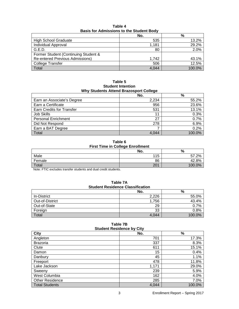|                                        | No.   | %      |
|----------------------------------------|-------|--------|
| <b>High School Graduate</b>            | 535   | 13.2%  |
| Individual Approval                    | 1,181 | 29.2%  |
| G.E.D.                                 | 80    | 2.0%   |
| Former Student (Continuing Student &   |       |        |
| <b>Re-entered Previous Admissions)</b> | 1.742 | 43.1%  |
| <b>College Transfer</b>                | 506   | 12.5%  |
| Total                                  | 4,044 | 100.0% |

**Table 4 Basis for Admissions to the Student Body**

**Table 5 Student Intention Why Students Attend Brazosport College**

|                                  | No.   | $\%$   |
|----------------------------------|-------|--------|
| Earn an Associate's Degree       | 2,234 | 55.2%  |
| Earn a Certificate               | 956   | 23.6%  |
| <b>Earn Credits for Transfer</b> | 531   | 13.1%  |
| <b>Job Skills</b>                | 11    | 0.3%   |
| <b>Personal Enrichment</b>       | 27    | 0.7%   |
| Did Not Respond                  | 278   | 6.9%   |
| Earn a BAT Degree                |       | 0.2%   |
| Total                            | 4,044 | 100.0% |

**Table 6 First Time in College Enrollment**

|        | . . |        |
|--------|-----|--------|
|        | No. | %      |
| Male   | 115 | 57.2%  |
| Female | 86  | 42.8%  |
| Total  | 201 | 100.0% |

Note: FTIC excludes transfer students and dual credit students.

| .<br><b>Student Residence Classification</b> |       |        |  |
|----------------------------------------------|-------|--------|--|
|                                              | No.   | %      |  |
| In-District                                  | 2.226 | 55.0%  |  |
| Out-of-District                              | 1.756 | 43.4%  |  |
| Out-of-State                                 | 29    | 0.7%   |  |
| Foreign                                      | 33    | 0.8%   |  |
| Total                                        | 4.044 | 100.0% |  |

| Table 7A                                |
|-----------------------------------------|
| <b>Student Residence Classification</b> |

| Table 7B                         |       |        |  |
|----------------------------------|-------|--------|--|
| <b>Student Residence by City</b> |       |        |  |
| <b>City</b>                      | No.   | %      |  |
| Angleton                         | 701   | 17.3%  |  |
| <b>Brazoria</b>                  | 337   | 8.3%   |  |
| Clute                            | 611   | 15.1%  |  |
| Damon                            | 15    | 0.4%   |  |
| Danbury                          | 45    | 1.1%   |  |
| Freeport                         | 478   | 11.8%  |  |
| Lake Jackson                     | 1,171 | 29.0%  |  |
| Sweeny                           | 239   | 5.9%   |  |
| West Columbia                    | 162   | 4.0%   |  |
| <b>Other Residence</b>           | 285   | 7.0%   |  |
| <b>Total Students</b>            | 4.044 | 100.0% |  |

## **Table 7B**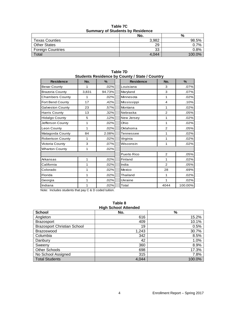|                          | No.   | %       |
|--------------------------|-------|---------|
| <b>Texas Counties</b>    | 3,982 | 98.5%   |
| <b>Other States</b>      | 29    | 0.7%    |
| <b>Foreign Countries</b> | 33    | $0.8\%$ |
| Total                    | 4.044 | 100.0%  |

**Table 7C Summary of Students by Residence**

| <b>Residence</b>       | No.   | %      | olugonis Resignitie by Obanty / Olaic / Obanti y<br><b>Residence</b> | No.            | $\%$    |
|------------------------|-------|--------|----------------------------------------------------------------------|----------------|---------|
| <b>Bexar County</b>    | 1     | .02%   | Louisiana                                                            | 3              | .07%    |
| <b>Brazoria County</b> | 3,831 | 94.73% | Maryland                                                             | 3              | .07%    |
| <b>Chambers County</b> | 1     | .02%   | Minnesota                                                            | 1              | .02%    |
| Fort Bend County       | 17    | .42%   | Mississippi                                                          | $\overline{4}$ | .10%    |
| Galveston County       | 23    | .57%   | Montana                                                              | 1              | .02%    |
| Harris County          | 13    | .32%   | Nebraska                                                             | 2              | .05%    |
| <b>Hidalgo County</b>  | 5     | .12%   | New Jersey                                                           | 1              | .02%    |
| Jefferson County       | 1     | .02%   | Ohio                                                                 | 1              | .02%    |
| Leon County            | 1     | .02%   | Oklahoma                                                             | $\overline{2}$ | .05%    |
| Matagorda County       | 84    | 2.08%  | Tennessee                                                            | 1              | .02%    |
| Robertson County       | 1     | .02%   | Virginia                                                             | 1              | .02%    |
| Victoria County        | 3     | .07%   | Wisconsin                                                            | 1              | .02%    |
| <b>Wharton County</b>  | 1     | .02%   |                                                                      |                |         |
|                        |       |        | Puerto Rico                                                          | 2              | .05%    |
| Arkansas               | 1     | .02%   | Finland                                                              | 1              | .02%    |
| California             | 1     | .02%   | India                                                                | 2              | .05%    |
| Colorado               | 1     | .02%   | Mexico                                                               | 28             | .69%    |
| Florida                | 1     | .02%   | Thailand                                                             | 1              | .02%    |
| Georgia                | 1     | .02%   | Ukraine                                                              | 1              | .02%    |
| Indiana                | 1     | .02%   | Total                                                                | 4044           | 100.00% |

**Table 7D Students Residence by County / State / Country**

Note: Includes students that pay C & D coded tuition.

#### **Table 8 High School Attended**

| <b>School</b>                      | No.   | $\%$   |
|------------------------------------|-------|--------|
| Angleton                           | 616   | 15.2%  |
| <b>Brazosport</b>                  | 409   | 10.1%  |
| <b>Brazosport Christian School</b> | 19    | 0.5%   |
| Brazoswood                         | 1,243 | 30.7%  |
| Columbia                           | 342   | 8.5%   |
| Danbury                            | 42    | 1.0%   |
| Sweeny                             | 360   | 8.9%   |
| <b>Other Schools</b>               | 698   | 17.3%  |
| No School Assigned                 | 315   | 7.8%   |
| Total Students                     | 4.044 | 100.0% |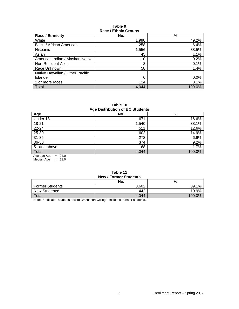### **Table 9 Race / Ethnic Groups**

| <b>Race / Ethnicity</b>          | No.   | %       |  |
|----------------------------------|-------|---------|--|
| White                            | 1,990 | 49.2%   |  |
| Black / African American         | 258   | 6.4%    |  |
| Hispanic                         | 1,556 | 38.5%   |  |
| Asian                            | 45    | 1.1%    |  |
| American Indian / Alaskan Native | 10    | 0.2%    |  |
| Non-Resident Alien               | 3     | 0.1%    |  |
| Race Unknown                     | 58    | 1.4%    |  |
| Native Hawaiian / Other Pacific  |       |         |  |
| <b>Islander</b>                  | 0     | $0.0\%$ |  |
| 2 or more races                  | 124   | 3.1%    |  |
| Total                            | 4.044 | 100.0%  |  |

**Table 10 Age Distribution of BC Students**

| ໍ່ສໍ                    |       |        |  |
|-------------------------|-------|--------|--|
| Age                     | No.   | %      |  |
| Under 18                | 671   | 16.6%  |  |
| 18-21                   | 1,540 | 38.1%  |  |
| 22-24                   | 511   | 12.6%  |  |
| 25-30                   | 602   | 14.9%  |  |
| $31 - 35$               | 278   | 6.9%   |  |
| 36-50                   | 374   | 9.2%   |  |
| 51 and above            | 68    | 1.7%   |  |
| Total                   | 4,044 | 100.0% |  |
| $= 24.0$<br>Average Age |       |        |  |

Median Age  $= 21.0$ 

| <b>New / Former Students</b> |       |        |  |
|------------------------------|-------|--------|--|
|                              | No.   | %      |  |
| <b>Former Students</b>       | 3.602 | 89.1%  |  |
| New Students*                | 442   | 10.9%  |  |
| Total                        | 4.044 | 100.0% |  |

## **Table 11**

Note: \* Indicates students new to Brazosport College--includes transfer students.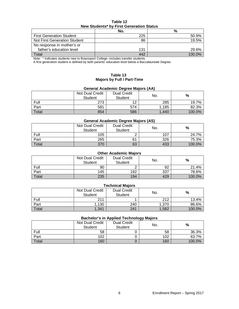| Table 12                                 |  |  |  |  |
|------------------------------------------|--|--|--|--|
| New Students* by First Generation Status |  |  |  |  |

|                                 | No. | %      |
|---------------------------------|-----|--------|
| <b>First Generation Student</b> | 225 | 50.9%  |
| Not First Generation Student    | 86  | 19.5%  |
| No response in mother's or      |     |        |
| father's education level        | 131 | 29.6%  |
| Total                           | 442 | 100.0% |
|                                 |     |        |

Note: \* Indicates students new to Brazosport College--includes transfer students.

A first generation student is defined by both parents' education level below a Baccalaureate Degree.

### **Table 13 Majors by Full / Part-Time**

## **General Academic Degree Majors (AA)**

|       | Not Dual Credit<br>Student | <b>Dual Credit</b><br><b>Student</b> | No.   | %      |
|-------|----------------------------|--------------------------------------|-------|--------|
| Full  | 273                        | 1 ລ                                  | 285   | 19.7%  |
| Part  | 581                        | 574                                  | 1,185 | 82.3%  |
| Total | 854                        | 586                                  | 1.440 | 100.0% |

### **General Academic Degree Majors (AS)**

|       | Not Dual Credit<br>Student | <b>Dual Credit</b><br>Student | No. | %      |
|-------|----------------------------|-------------------------------|-----|--------|
| Full  | 105                        |                               | 107 | 24.7%  |
| Part  | 265                        | 61                            | 326 | 75.3%  |
| Total | 370                        | 63                            | 433 | 100.0% |

## **Other Academic Majors**

|       | <b>Not Dual Credit</b><br><b>Student</b> | <b>Dual Credit</b><br>Student | No. | %      |
|-------|------------------------------------------|-------------------------------|-----|--------|
| Full  | 90                                       |                               | 92  | 21.4%  |
| Part  | 145                                      | 192                           | 337 | 78.6%  |
| Total | 235                                      | 194                           | 429 | 100.0% |

| <b>Technical Majors</b> |                                                                                |     |       |        |  |  |  |
|-------------------------|--------------------------------------------------------------------------------|-----|-------|--------|--|--|--|
|                         | Not Dual Credit<br><b>Dual Credit</b><br>%<br>No.<br><b>Student</b><br>Student |     |       |        |  |  |  |
| Full                    | 211                                                                            |     | 212   | 13.4%  |  |  |  |
| Part                    | ,130                                                                           | 240 | 1,370 | 86.6%  |  |  |  |
| Total                   | 1,341                                                                          | 241 | 1,582 | 100.0% |  |  |  |

### **Bachelor's in Applied Technology Majors**

|       |                                   |                                      | --  |        |
|-------|-----------------------------------|--------------------------------------|-----|--------|
|       | Not Dual Credit<br><b>Student</b> | <b>Dual Credit</b><br><b>Student</b> | No. | %      |
| Full  | 58                                |                                      | 58  | 36.3%  |
| Part  | 102                               |                                      | 102 | 63.7%  |
| Total | 160                               |                                      | 160 | 100.0% |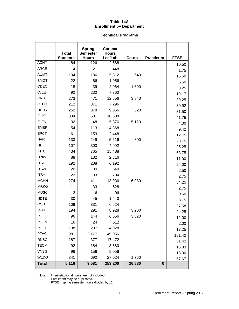## **Table 14A Enrollment by Department**

### **Technical Programs**

|              | <b>Total</b>    | <b>Spring</b><br><b>Semester</b> | <b>Contact</b><br><b>Hours</b> |        |                  |             |
|--------------|-----------------|----------------------------------|--------------------------------|--------|------------------|-------------|
|              | <b>Students</b> | <b>Hours</b>                     | Lec/Lab                        | Co-op  | <b>Practicum</b> | <b>FTSE</b> |
| <b>ACNT</b>  | 84              | 126                              | 2,688                          |        |                  | 10.50       |
| <b>ARCE</b>  | 14              | 21                               | 448                            |        |                  | 1.75        |
| <b>AUMT</b>  | 104             | 186                              | 5,312                          | 640    |                  | 15.50       |
| <b>BMGT</b>  | 22              | 66                               | 1,056                          |        |                  | 5.50        |
| CDEC         | 18              | 39                               | 2,064                          | 1,600  |                  | 3.25        |
| <b>CJLE</b>  | 92              | 230                              | 7,360                          |        |                  | 19.17       |
| <b>CNBT</b>  | 273             | 471                              | 12,656                         | 3,840  |                  | 39.25       |
| <b>CTEC</b>  | 212             | 371                              | 7,296                          |        |                  | 30.92       |
| <b>DFTG</b>  | 252             | 378                              | 9,056                          | 320    |                  | 31.50       |
| <b>ELPT</b>  | 334             | 501                              | 10,688                         |        |                  | 41.75       |
| <b>ELTN</b>  | 32              | 48                               | 5,376                          | 5,120  |                  | 4.00        |
| <b>EMSP</b>  | 54              | 113                              | 4,368                          |        |                  | 9.42        |
| <b>EPCT</b>  | 61              | 153                              | 2,448                          |        |                  | 12.75       |
| <b>HART</b>  | 133             | 249                              | 5,616                          | 800    |                  | 20.75       |
| <b>HITT</b>  | 107             | 303                              | 4,992                          |        |                  | 25.25       |
| <b>INTC</b>  | 434             | 765                              | 15,488                         |        |                  | 63.75       |
| <b>ITNW</b>  | 88              | 132                              | 2,816                          |        |                  | 11.00       |
| <b>ITSC</b>  | 192             | 288                              | 6,192                          |        |                  | 24.00       |
| <b>ITSW</b>  | 20              | 30                               | 640                            |        |                  | 2.50        |
| <b>ITSY</b>  | 22              | 33                               | 704                            |        |                  | 2.75        |
| <b>MCHN</b>  | 274             | 411                              | 13,936                         | 6,080  |                  | 34.25       |
| <b>MRKG</b>  | 11              | 33                               | 528                            |        |                  | 2.75        |
| <b>MUSC</b>  | 3               | 6                                | 96                             |        |                  | 0.50        |
| <b>NDTE</b>  | 30              | 45                               | 1,440                          |        |                  | 3.75        |
| <b>OSHT</b>  | 109             | 331                              | 6,624                          |        |                  | 27.58       |
| <b>PFPB</b>  | 194             | 291                              | 8,928                          | 3,200  |                  | 24.25       |
| <b>POFI</b>  | 96              | 144                              | 6,656                          | 3,520  |                  | 12.00       |
| <b>POFM</b>  | 16              | 24                               | 512                            |        |                  | 2.00        |
| <b>POFT</b>  | 138             | 207                              | 4,928                          |        |                  | 17.25       |
| <b>PTAC</b>  | 981             | 2,177                            | 49,056                         |        |                  | 181.42      |
| <b>RNSG</b>  | 187             | 377                              | 17,472                         |        |                  | 31.42       |
| <b>TECM</b>  | 92              | 184                              | 3,680                          |        |                  | 15.33       |
| <b>VNSG</b>  | 96              | 156                              | 5,056                          |        |                  | 13.00       |
| <b>WLDG</b>  | 341             | 692                              | 27,024                         | 1,760  |                  | 57.67       |
| <b>Total</b> | 5,116           | 9,581                            | 253,200                        | 26,880 | $\bf{0}$         |             |

Note: Interinstitutional hours are not included. Enrollment may be duplicated.

FTSE = spring semester hours divided by 12.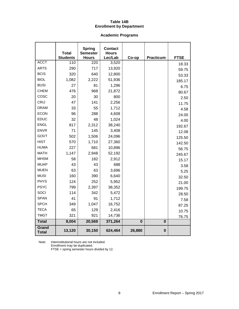## **Table 14B Enrollment by Department**

## **Academic Programs**

|                       | <b>Total</b><br><b>Students</b> | <b>Spring</b><br><b>Semester</b><br><b>Hours</b> | <b>Contact</b><br><b>Hours</b><br>Lec/Lab | Co-op    | <b>Practicum</b> | <b>FTSE</b> |
|-----------------------|---------------------------------|--------------------------------------------------|-------------------------------------------|----------|------------------|-------------|
| <b>ACCT</b>           | 110                             | 220                                              | 3,520                                     |          |                  | 18.33       |
| <b>ARTS</b>           | 290                             | 717                                              | 13,920                                    |          |                  | 59.75       |
| <b>BCIS</b>           | 320                             | 640                                              | 12,800                                    |          |                  | 53.33       |
| <b>BIOL</b>           | 1,082                           | 2,222                                            | 51,936                                    |          |                  | 185.17      |
| <b>BUSI</b>           | 27                              | 81                                               | 1,296                                     |          |                  | 6.75        |
| <b>CHEM</b>           | 476                             | 968                                              | 21,872                                    |          |                  | 80.67       |
| COSC                  | 20                              | 30                                               | 800                                       |          |                  | 2.50        |
| <b>CRIJ</b>           | 47                              | 141                                              | 2,256                                     |          |                  | 11.75       |
| <b>DRAM</b>           | 33                              | 55                                               | 1,712                                     |          |                  | 4.58        |
| <b>ECON</b>           | 96                              | 288                                              | 4,608                                     |          |                  | 24.00       |
| EDUC                  | 32                              | 48                                               | 1,024                                     |          |                  | 4.00        |
| <b>ENGL</b>           | 817                             | 2,312                                            | 38,240                                    |          |                  | 192.67      |
| <b>ENVR</b>           | 71                              | 145                                              | 3,408                                     |          |                  | 12.08       |
| <b>GOVT</b>           | 502                             | 1,506                                            | 24,096                                    |          |                  | 125.50      |
| <b>HIST</b>           | 570                             | 1,710                                            | 27,360                                    |          |                  | 142.50      |
| <b>HUMA</b>           | 227                             | 681                                              | 10,896                                    |          |                  | 56.75       |
| <b>MATH</b>           | 1,147                           | 2,948                                            | 52,192                                    |          |                  | 245.67      |
| <b>MHSM</b>           | 58                              | 182                                              | 2,912                                     |          |                  | 15.17       |
| <b>MUAP</b>           | 43                              | 43                                               | 688                                       |          |                  | 3.58        |
| <b>MUEN</b>           | 63                              | 63                                               | 3,696                                     |          |                  | 5.25        |
| <b>MUSI</b>           | 160                             | 390                                              | 6,640                                     |          |                  | 32.50       |
| <b>PHYS</b>           | 124                             | 252                                              | 5,952                                     |          |                  | 21.00       |
| <b>PSYC</b>           | 799                             | 2,397                                            | 38,352                                    |          |                  | 199.75      |
| SOCI                  | 114                             | 342                                              | 5,472                                     |          |                  | 28.50       |
| <b>SPAN</b>           | 41                              | 91                                               | 1,712                                     |          |                  | 7.58        |
| <b>SPCH</b>           | 349                             | 1,047                                            | 16,752                                    |          |                  | 87.25       |
| <b>TECA</b>           | 65                              | 129                                              | 2,416                                     |          |                  | 10.75       |
| <b>TMGT</b>           | 321                             | 921                                              | 14,736                                    |          |                  | 76.75       |
| <b>Total</b>          | 8,004                           | 20,569                                           | 371,264                                   | $\bf{0}$ | $\bf{0}$         |             |
| Grand<br><b>Total</b> | 13,120                          | 30,150                                           | 624,464                                   | 26,880   | $\bf{0}$         |             |

Note: Interinstitutional hours are not included. Enrollment may be duplicated. FTSE = spring semester hours divided by 12.